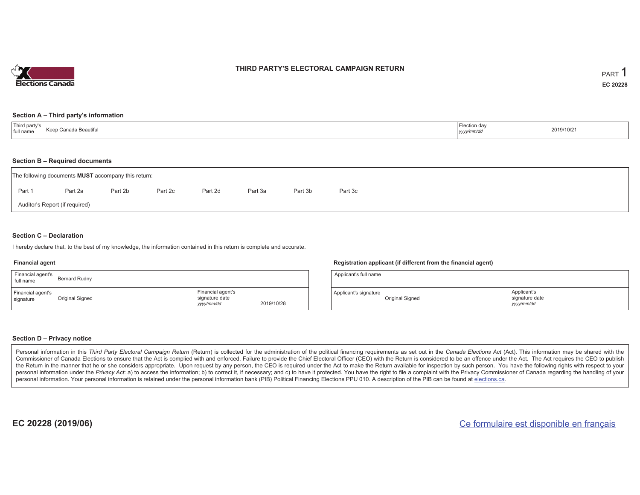

## **THIRD PARTY'S ELECTORAL CAMPAIGN RETURN**

#### **Section A – Third party's information**

| Third party's<br>ınada Beautiful_<br>full name | $=$ lection dav<br>yyyy/mm/dc<br>$\sim$ $\sim$ | 2019/10/21 |
|------------------------------------------------|------------------------------------------------|------------|
|------------------------------------------------|------------------------------------------------|------------|

#### **Section B – Required documents**

|        | The following documents <b>MUST</b> accompany this return: |         |         |         |         |         |         |  |  |
|--------|------------------------------------------------------------|---------|---------|---------|---------|---------|---------|--|--|
| Part 1 | Part 2a                                                    | Part 2b | Part 2c | Part 2d | Part 3a | Part 3b | Part 3c |  |  |
|        | Auditor's Report (if required)                             |         |         |         |         |         |         |  |  |

## **Section C – Declaration**

I hereby declare that, to the best of my knowledge, the information contained in this return is complete and accurate.

#### **Financial agent**

| Financial agent's<br>full name | Bernard Rudny   |                                                   |            |
|--------------------------------|-----------------|---------------------------------------------------|------------|
| Financial agent's<br>signature | Original Signed | Financial agent's<br>signature date<br>yyyy/mm/dd | 2019/10/28 |

#### **Registration applicant (if different from the financial agent)**

| Applicant's full name |                 |                                             |  |
|-----------------------|-----------------|---------------------------------------------|--|
| Applicant's signature | Original Signed | Applicant's<br>signature date<br>yyyy/mm/dd |  |

### **Section D – Privacy notice**

Personal information in this Third Party Electoral Campaign Return (Return) is collected for the administration of the political financing requirements as set out in the Canada Elections Act (Act). This information may be Commissioner of Canada Elections to ensure that the Act is complied with and enforced. Failure to provide the Chief Electoral Officer (CEO) with the Return is considered to be an offence under the Act. The Act requires the the Return in the manner that he or she considers appropriate. Upon request by any person, the CEO is required under the Act to make the Return available for inspection by such person. You have the following rights with re personal information under the Privacy Act: a) to access the information; b) to correct it, if necessary; and c) to have it protected. You have the right to file a complaint with the Privacy Commissioner of Canada regardin personal information. Your personal information is retained under the personal information bank (PIB) Political Financing Elections PPU 010. A description of the PIB can be found at elections.ca.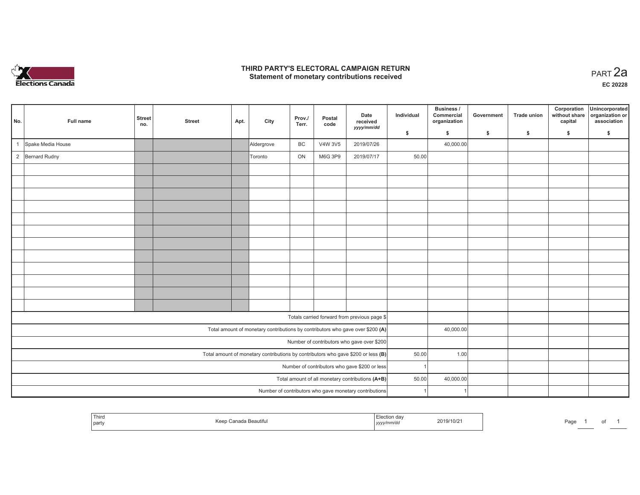

## **THIRD PARTY'S ELECTORAL CAMPAIGN RETURN HIRD PARTY'S ELECTORAL CAMPAIGN RETURN<br>Statement of monetary contributions received PART 2a**

**EC 20228**

| No.            | Full name                                     | <b>Street</b><br>no. | <b>Street</b> | Apt. | City       | Prov./<br>Terr. | Postal<br>code | Date<br>received<br>yyyy/mm/dd                                                    | Individual | Business /<br>Commercial<br>organization | Government | <b>Trade union</b> | Corporation<br>without share<br>capital | Unincorporated<br>organization or<br>association |
|----------------|-----------------------------------------------|----------------------|---------------|------|------------|-----------------|----------------|-----------------------------------------------------------------------------------|------------|------------------------------------------|------------|--------------------|-----------------------------------------|--------------------------------------------------|
|                |                                               |                      |               |      |            |                 |                |                                                                                   | \$         | $\mathbf{s}$                             | \$         | S.                 | \$                                      | \$                                               |
|                | Spake Media House                             |                      |               |      | Aldergrove | BC              | V4W 3V5        | 2019/07/26                                                                        |            | 40,000.00                                |            |                    |                                         |                                                  |
| $\overline{2}$ | <b>Bernard Rudny</b>                          |                      |               |      | Toronto    | ON              | M6G 3P9        | 2019/07/17                                                                        | 50.00      |                                          |            |                    |                                         |                                                  |
|                |                                               |                      |               |      |            |                 |                |                                                                                   |            |                                          |            |                    |                                         |                                                  |
|                |                                               |                      |               |      |            |                 |                |                                                                                   |            |                                          |            |                    |                                         |                                                  |
|                |                                               |                      |               |      |            |                 |                |                                                                                   |            |                                          |            |                    |                                         |                                                  |
|                |                                               |                      |               |      |            |                 |                |                                                                                   |            |                                          |            |                    |                                         |                                                  |
|                |                                               |                      |               |      |            |                 |                |                                                                                   |            |                                          |            |                    |                                         |                                                  |
|                |                                               |                      |               |      |            |                 |                |                                                                                   |            |                                          |            |                    |                                         |                                                  |
|                |                                               |                      |               |      |            |                 |                |                                                                                   |            |                                          |            |                    |                                         |                                                  |
|                |                                               |                      |               |      |            |                 |                |                                                                                   |            |                                          |            |                    |                                         |                                                  |
|                |                                               |                      |               |      |            |                 |                |                                                                                   |            |                                          |            |                    |                                         |                                                  |
|                |                                               |                      |               |      |            |                 |                |                                                                                   |            |                                          |            |                    |                                         |                                                  |
|                |                                               |                      |               |      |            |                 |                |                                                                                   |            |                                          |            |                    |                                         |                                                  |
|                |                                               |                      |               |      |            |                 |                |                                                                                   |            |                                          |            |                    |                                         |                                                  |
|                |                                               |                      |               |      |            |                 |                | Totals carried forward from previous page \$                                      |            |                                          |            |                    |                                         |                                                  |
|                |                                               |                      |               |      |            |                 |                | Total amount of monetary contributions by contributors who gave over \$200 (A)    |            | 40,000.00                                |            |                    |                                         |                                                  |
|                |                                               |                      |               |      |            |                 |                | Number of contributors who gave over \$200                                        |            |                                          |            |                    |                                         |                                                  |
|                |                                               |                      |               |      |            |                 |                | Total amount of monetary contributions by contributors who gave \$200 or less (B) | 50.00      | 1.00                                     |            |                    |                                         |                                                  |
|                | Number of contributors who gave \$200 or less |                      |               |      |            |                 |                |                                                                                   |            |                                          |            |                    |                                         |                                                  |
|                |                                               |                      |               |      |            |                 |                | Total amount of all monetary contributions (A+B)                                  | 50.00      | 40,000.00                                |            |                    |                                         |                                                  |
|                |                                               |                      |               |      |            |                 |                | Number of contributors who gave monetary contributions                            |            |                                          |            |                    |                                         |                                                  |

|  | l Thiro<br>Keep<br>∶anada Beautifu<br>party | -laction da<br>2019/10/2<br>, , , , , , , , | Page |
|--|---------------------------------------------|---------------------------------------------|------|
|--|---------------------------------------------|---------------------------------------------|------|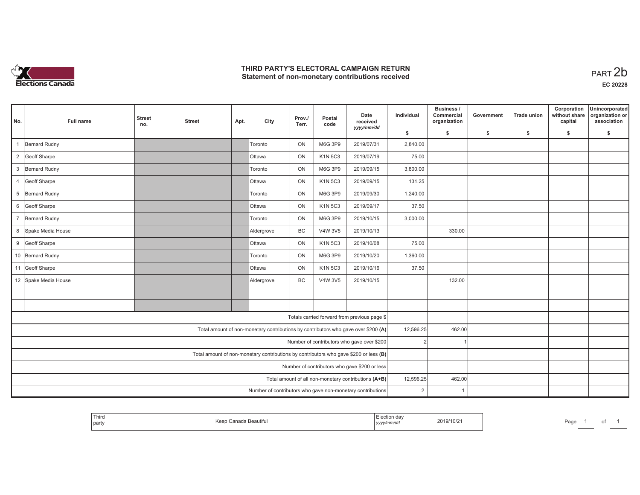

# **THIRD PARTY'S ELECTORAL CAMPAIGN RETURN**  THIRD PARTY'S ELECTORAL CAMPAIGN RETURN<br>Statement of non-monetary contributions received<br> **PART 2b**

| No.            | Full name            | <b>Street</b><br>no. | <b>Street</b> | Apt. | City          | Prov./<br>Terr. | Postal<br>code | Date<br>received                                                                      | Individual     | Business /<br>Commercial<br>organization | Government   | <b>Trade union</b> | Corporation<br>without share<br>capital | Unincorporated<br>organization or<br>association |
|----------------|----------------------|----------------------|---------------|------|---------------|-----------------|----------------|---------------------------------------------------------------------------------------|----------------|------------------------------------------|--------------|--------------------|-----------------------------------------|--------------------------------------------------|
|                |                      |                      |               |      |               |                 |                | yyyy/mm/dd                                                                            | \$             | \$                                       | $\mathsf{s}$ | \$                 | \$                                      | \$                                               |
|                | Bernard Rudny        |                      |               |      | Toronto       | ON              | M6G 3P9        | 2019/07/31                                                                            | 2,840.00       |                                          |              |                    |                                         |                                                  |
| $\overline{2}$ | Geoff Sharpe         |                      |               |      | <b>Ottawa</b> | ON              | <b>K1N 5C3</b> | 2019/07/19                                                                            | 75.00          |                                          |              |                    |                                         |                                                  |
|                | 3 Bernard Rudny      |                      |               |      | Toronto       | ON              | M6G 3P9        | 2019/09/15                                                                            | 3,800.00       |                                          |              |                    |                                         |                                                  |
| $\overline{4}$ | Geoff Sharpe         |                      |               |      | <b>Ottawa</b> | <b>ON</b>       | K1N 5C3        | 2019/09/15                                                                            | 131.25         |                                          |              |                    |                                         |                                                  |
|                | 5 Bernard Rudny      |                      |               |      | Toronto       | ON              | M6G 3P9        | 2019/09/30                                                                            | 1,240.00       |                                          |              |                    |                                         |                                                  |
| 6              | Geoff Sharpe         |                      |               |      | <b>Ottawa</b> | ON              | <b>K1N 5C3</b> | 2019/09/17                                                                            | 37.50          |                                          |              |                    |                                         |                                                  |
|                | 7 Bernard Rudny      |                      |               |      | Toronto       | ON              | M6G 3P9        | 2019/10/15                                                                            | 3,000.00       |                                          |              |                    |                                         |                                                  |
| 8              | Spake Media House    |                      |               |      | Aldergrove    | BC              | V4W 3V5        | 2019/10/13                                                                            |                | 330.00                                   |              |                    |                                         |                                                  |
|                | 9 Geoff Sharpe       |                      |               |      | <b>Ottawa</b> | ON              | <b>K1N 5C3</b> | 2019/10/08                                                                            | 75.00          |                                          |              |                    |                                         |                                                  |
|                | 10 Bernard Rudny     |                      |               |      | Toronto       | ON              | M6G 3P9        | 2019/10/20                                                                            | 1,360.00       |                                          |              |                    |                                         |                                                  |
|                | 11 Geoff Sharpe      |                      |               |      | <b>Ottawa</b> | ON              | K1N 5C3        | 2019/10/16                                                                            | 37.50          |                                          |              |                    |                                         |                                                  |
|                | 12 Spake Media House |                      |               |      | Aldergrove    | BC              | V4W 3V5        | 2019/10/15                                                                            |                | 132.00                                   |              |                    |                                         |                                                  |
|                |                      |                      |               |      |               |                 |                |                                                                                       |                |                                          |              |                    |                                         |                                                  |
|                |                      |                      |               |      |               |                 |                |                                                                                       |                |                                          |              |                    |                                         |                                                  |
|                |                      |                      |               |      |               |                 |                | Totals carried forward from previous page \$                                          |                |                                          |              |                    |                                         |                                                  |
|                |                      |                      |               |      |               |                 |                | Total amount of non-monetary contributions by contributors who gave over \$200 (A)    | 12,596.25      | 462.00                                   |              |                    |                                         |                                                  |
|                |                      |                      |               |      |               |                 |                | Number of contributors who gave over \$200                                            | $\overline{2}$ |                                          |              |                    |                                         |                                                  |
|                |                      |                      |               |      |               |                 |                | Total amount of non-monetary contributions by contributors who gave \$200 or less (B) |                |                                          |              |                    |                                         |                                                  |
|                |                      |                      |               |      |               |                 |                | Number of contributors who gave \$200 or less                                         |                |                                          |              |                    |                                         |                                                  |
|                |                      |                      |               |      |               |                 |                | Total amount of all non-monetary contributions (A+B)                                  | 12,596.25      | 462.00                                   |              |                    |                                         |                                                  |
|                |                      |                      |               |      |               |                 |                | Number of contributors who gave non-monetary contributions                            | 2              | $\overline{1}$                           |              |                    |                                         |                                                  |

|  | Third<br>l partv | Kaan<br>ı Beautitu | ua<br>yyyynnnvao | 2019/10/2 | Pag.<br>ື້ |  |  |  |
|--|------------------|--------------------|------------------|-----------|------------|--|--|--|
|--|------------------|--------------------|------------------|-----------|------------|--|--|--|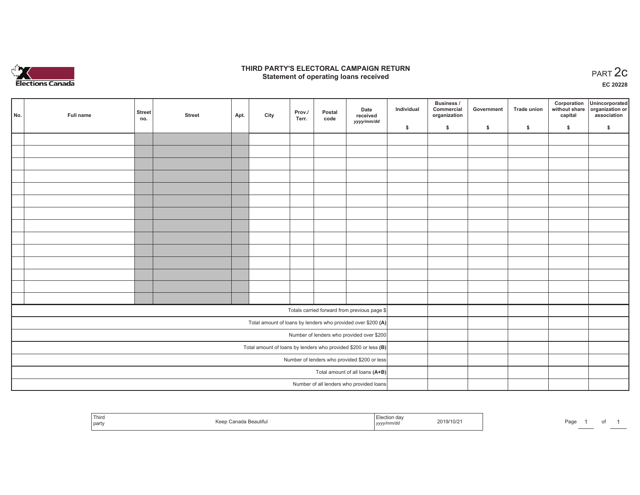

## **THIRD PARTY'S ELECTORAL CAMPAIGN RETURN STATE:** PARTY'S ELECTORAL CAMPAIGN RETURN<br>
Statement of operating loans received

**EC 20228**

| No.                                                               | Full name | <b>Street</b> | <b>Street</b> | Apt. | City | Prov./ | Postal | Date<br>received                                             | Individual | <b>Business /</b><br>Commercial<br>organization | Government | <b>Trade union</b> | Corporation<br>capital | Unincorporated<br>without share organization or<br>association |
|-------------------------------------------------------------------|-----------|---------------|---------------|------|------|--------|--------|--------------------------------------------------------------|------------|-------------------------------------------------|------------|--------------------|------------------------|----------------------------------------------------------------|
|                                                                   |           | no.           |               |      |      | Terr.  | code   | yyyy/mm/dd                                                   | \$         | \$                                              | \$         | \$                 | \$                     | \$                                                             |
|                                                                   |           |               |               |      |      |        |        |                                                              |            |                                                 |            |                    |                        |                                                                |
|                                                                   |           |               |               |      |      |        |        |                                                              |            |                                                 |            |                    |                        |                                                                |
|                                                                   |           |               |               |      |      |        |        |                                                              |            |                                                 |            |                    |                        |                                                                |
|                                                                   |           |               |               |      |      |        |        |                                                              |            |                                                 |            |                    |                        |                                                                |
|                                                                   |           |               |               |      |      |        |        |                                                              |            |                                                 |            |                    |                        |                                                                |
|                                                                   |           |               |               |      |      |        |        |                                                              |            |                                                 |            |                    |                        |                                                                |
|                                                                   |           |               |               |      |      |        |        |                                                              |            |                                                 |            |                    |                        |                                                                |
|                                                                   |           |               |               |      |      |        |        |                                                              |            |                                                 |            |                    |                        |                                                                |
|                                                                   |           |               |               |      |      |        |        |                                                              |            |                                                 |            |                    |                        |                                                                |
|                                                                   |           |               |               |      |      |        |        |                                                              |            |                                                 |            |                    |                        |                                                                |
|                                                                   |           |               |               |      |      |        |        |                                                              |            |                                                 |            |                    |                        |                                                                |
|                                                                   |           |               |               |      |      |        |        |                                                              |            |                                                 |            |                    |                        |                                                                |
|                                                                   |           |               |               |      |      |        |        |                                                              |            |                                                 |            |                    |                        |                                                                |
|                                                                   |           |               |               |      |      |        |        |                                                              |            |                                                 |            |                    |                        |                                                                |
|                                                                   |           |               |               |      |      |        |        | Totals carried forward from previous page \$                 |            |                                                 |            |                    |                        |                                                                |
|                                                                   |           |               |               |      |      |        |        | Total amount of loans by lenders who provided over \$200 (A) |            |                                                 |            |                    |                        |                                                                |
|                                                                   |           |               |               |      |      |        |        | Number of lenders who provided over \$200                    |            |                                                 |            |                    |                        |                                                                |
| Total amount of loans by lenders who provided \$200 or less $(B)$ |           |               |               |      |      |        |        |                                                              |            |                                                 |            |                    |                        |                                                                |
| Number of lenders who provided \$200 or less                      |           |               |               |      |      |        |        |                                                              |            |                                                 |            |                    |                        |                                                                |
|                                                                   |           |               |               |      |      |        |        | Total amount of all loans (A+B)                              |            |                                                 |            |                    |                        |                                                                |
|                                                                   |           |               |               |      |      |        |        | Number of all lenders who provided loans                     |            |                                                 |            |                    |                        |                                                                |

| ' Third<br>part | ง Beautiful<br>$\sim$<br>ncc | -lection day<br>2019/10/2<br>,,,,, | Pag |
|-----------------|------------------------------|------------------------------------|-----|
|-----------------|------------------------------|------------------------------------|-----|

of 1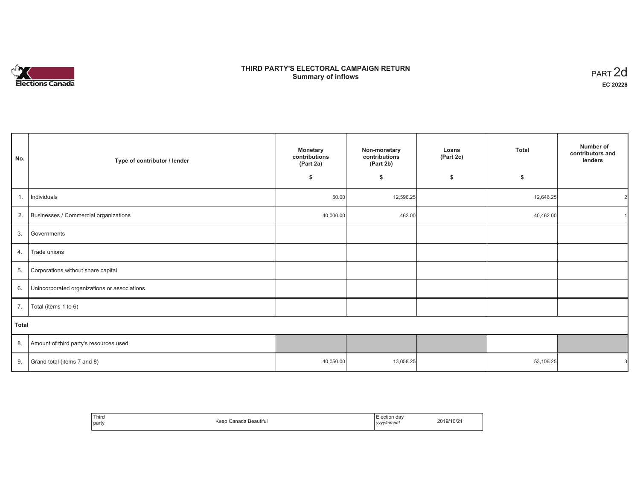# **Elections Canada**

# **THIRD PARTY'S ELECTORAL CAMPAIGN RETURN Summary of inflows**

| PART <sub>2d</sub> |
|--------------------|
| EC 20228           |

| No.   | Type of contributor / lender                 | <b>Monetary</b><br>contributions<br>(Part 2a) |           | Loans<br>(Part 2c) | <b>Total</b> | Number of<br>contributors and<br>lenders |
|-------|----------------------------------------------|-----------------------------------------------|-----------|--------------------|--------------|------------------------------------------|
|       |                                              | \$                                            | \$        | \$                 | \$           |                                          |
| 1.    | Individuals                                  | 50.00                                         | 12,596.25 |                    | 12,646.25    | 21                                       |
| 2.    | Businesses / Commercial organizations        | 40,000.00                                     | 462.00    |                    | 40,462.00    |                                          |
| 3.    | Governments                                  |                                               |           |                    |              |                                          |
| 4.    | Trade unions                                 |                                               |           |                    |              |                                          |
| 5.    | Corporations without share capital           |                                               |           |                    |              |                                          |
| 6.    | Unincorporated organizations or associations |                                               |           |                    |              |                                          |
| 7.    | Total (items 1 to 6)                         |                                               |           |                    |              |                                          |
| Total |                                              |                                               |           |                    |              |                                          |
| 8.    | Amount of third party's resources used       |                                               |           |                    |              |                                          |
| 9.    | Grand total (items 7 and 8)                  | 40,050.00                                     | 13,058.25 |                    | 53,108.25    |                                          |

| Third<br>party | $\cdots$<br>Keep<br>Canada Beautiful | Election da\<br>yyyy/mm/dd | 2019/10/21 |
|----------------|--------------------------------------|----------------------------|------------|
|----------------|--------------------------------------|----------------------------|------------|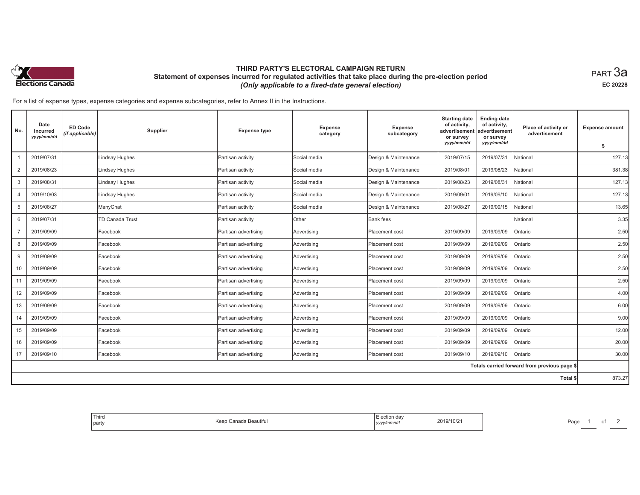

# **THIRD PARTY'S ELECTORAL CAMPAIGN RETURN Statement of expenses incurred for regulated activities that take place during the pre-election period**  *(Only applicable to a fixed-date general election)*

 $_{\sf PART}$ 3a **EC 20228**

For a list of expense types, expense categories and expense subcategories, refer to Annex II in the Instructions.

| No.            | Date<br>incurred<br>yyyy/mm/dd | <b>ED Code</b><br>(if applicable) | Supplier               | <b>Expense type</b>  | <b>Expense</b><br>category | Expense<br>subcategory | <b>Starting date</b><br>of activity,<br>advertisement<br>or survey<br>yyyy/mm/dd | <b>Ending date</b><br>of activity,<br>advertisement<br>or survey<br>yyyy/mm/dd | Place of activity or<br>advertisement        | <b>Expense amount</b><br>\$ |
|----------------|--------------------------------|-----------------------------------|------------------------|----------------------|----------------------------|------------------------|----------------------------------------------------------------------------------|--------------------------------------------------------------------------------|----------------------------------------------|-----------------------------|
|                | 2019/07/31                     |                                   | Lindsay Hughes         | Partisan activity    | Social media               | Design & Maintenance   | 2019/07/15                                                                       | 2019/07/31                                                                     | National                                     | 127.13                      |
| $\overline{2}$ | 2019/08/23                     |                                   | <b>Lindsay Hughes</b>  | Partisan activity    | Social media               | Design & Maintenance   | 2019/08/01                                                                       | 2019/08/23                                                                     | National                                     | 381.38                      |
| 3              | 2019/08/31                     |                                   | <b>Lindsay Hughes</b>  | Partisan activity    | Social media               | Design & Maintenance   | 2019/08/23                                                                       | 2019/08/31                                                                     | National                                     | 127.13                      |
| $\overline{4}$ | 2019/10/03                     |                                   | <b>Lindsay Hughes</b>  | Partisan activity    | Social media               | Design & Maintenance   | 2019/09/01                                                                       | 2019/09/10                                                                     | National                                     | 127.13                      |
| 5              | 2019/08/27                     |                                   | ManyChat               | Partisan activity    | Social media               | Design & Maintenance   | 2019/08/27                                                                       | 2019/09/15                                                                     | National                                     | 13.65                       |
| 6              | 2019/07/31                     |                                   | <b>TD Canada Trust</b> | Partisan activity    | Other                      | <b>Bank</b> fees       |                                                                                  |                                                                                | National                                     | 3.35                        |
| $\overline{7}$ | 2019/09/09                     |                                   | Facebook               | Partisan advertising | Advertising                | Placement cost         | 2019/09/09                                                                       | 2019/09/09                                                                     | Ontario                                      | 2.50                        |
| 8              | 2019/09/09                     |                                   | Facebook               | Partisan advertising | Advertising                | Placement cost         | 2019/09/09                                                                       | 2019/09/09                                                                     | Ontario                                      | 2.50                        |
| 9              | 2019/09/09                     |                                   | Facebook               | Partisan advertising | Advertising                | Placement cost         | 2019/09/09                                                                       | 2019/09/09                                                                     | Ontario                                      | 2.50                        |
| 10             | 2019/09/09                     |                                   | Facebook               | Partisan advertising | Advertising                | Placement cost         | 2019/09/09                                                                       | 2019/09/09                                                                     | Ontario                                      | 2.50                        |
| 11             | 2019/09/09                     |                                   | Facebook               | Partisan advertising | Advertising                | Placement cost         | 2019/09/09                                                                       | 2019/09/09                                                                     | Ontario                                      | 2.50                        |
| 12             | 2019/09/09                     |                                   | Facebook               | Partisan advertising | Advertising                | Placement cost         | 2019/09/09                                                                       | 2019/09/09                                                                     | Ontario                                      | 4.00                        |
| 13             | 2019/09/09                     |                                   | Facebook               | Partisan advertising | Advertising                | Placement cost         | 2019/09/09                                                                       | 2019/09/09                                                                     | Ontario                                      | 6.00                        |
| 14             | 2019/09/09                     |                                   | Facebook               | Partisan advertising | Advertising                | Placement cost         | 2019/09/09                                                                       | 2019/09/09                                                                     | Ontario                                      | 9.00                        |
| 15             | 2019/09/09                     |                                   | Facebook               | Partisan advertising | Advertising                | Placement cost         | 2019/09/09                                                                       | 2019/09/09                                                                     | Ontario                                      | 12.00                       |
| 16             | 2019/09/09                     |                                   | Facebook               | Partisan advertising | Advertising                | Placement cost         | 2019/09/09                                                                       | 2019/09/09                                                                     | Ontario                                      | 20.00                       |
| 17             | 2019/09/10                     |                                   | Facebook               | Partisan advertising | Advertising                | Placement cost         | 2019/09/10                                                                       | 2019/09/10                                                                     | Ontario                                      | 30.00                       |
|                |                                |                                   |                        |                      |                            |                        |                                                                                  |                                                                                | Totals carried forward from previous page \$ |                             |
|                |                                |                                   |                        |                      |                            |                        |                                                                                  |                                                                                | Total \$                                     | 873.27                      |

| Third<br>  party | Canada Beautiful<br>Keer | Election day<br>2019/10/21<br>.<br>yyyy/mm/dd | Page |
|------------------|--------------------------|-----------------------------------------------|------|
|------------------|--------------------------|-----------------------------------------------|------|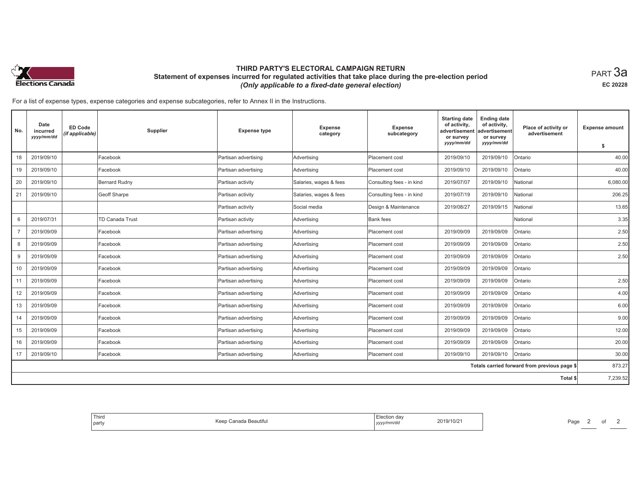

# **THIRD PARTY'S ELECTORAL CAMPAIGN RETURN Statement of expenses incurred for regulated activities that take place during the pre-election period**  *(Only applicable to a fixed-date general election)*

 $_{\sf PART}$ 3a **EC 20228**

For a list of expense types, expense categories and expense subcategories, refer to Annex II in the Instructions.

| No.            | Date<br>incurred<br>yyyy/mm/dd | <b>ED Code</b><br>(if applicable) | Supplier               | <b>Expense type</b>  | Expense<br>category    | Expense<br>subcategory    | <b>Starting date</b><br>of activity,<br>advertisement<br>or survey<br>yyyy/mm/dd | <b>Ending date</b><br>of activity,<br>advertisement<br>or survey<br>yyyy/mm/dd | Place of activity or<br>advertisement        | <b>Expense amount</b><br>\$ |
|----------------|--------------------------------|-----------------------------------|------------------------|----------------------|------------------------|---------------------------|----------------------------------------------------------------------------------|--------------------------------------------------------------------------------|----------------------------------------------|-----------------------------|
| 18             | 2019/09/10                     |                                   | Facebook               | Partisan advertising | Advertising            | Placement cost            | 2019/09/10                                                                       | 2019/09/10                                                                     | Ontario                                      | 40.00                       |
| 19             | 2019/09/10                     |                                   | Facebook               | Partisan advertising | Advertising            | Placement cost            | 2019/09/10                                                                       | 2019/09/10                                                                     | Ontario                                      | 40.00                       |
| 20             | 2019/09/10                     |                                   | Bernard Rudny          | Partisan activity    | Salaries, wages & fees | Consulting fees - in kind | 2019/07/07                                                                       | 2019/09/10                                                                     | National                                     | 6,080.00                    |
| 21             | 2019/09/10                     |                                   | <b>Geoff Sharpe</b>    | Partisan activity    | Salaries, wages & fees | Consulting fees - in kind | 2019/07/19                                                                       | 2019/09/10                                                                     | National                                     | 206.25                      |
|                |                                |                                   |                        | Partisan activity    | Social media           | Design & Maintenance      | 2019/08/27                                                                       | 2019/09/15                                                                     | National                                     | 13.65                       |
| 6              | 2019/07/31                     |                                   | <b>TD Canada Trust</b> | Partisan activity    | Advertising            | <b>Bank fees</b>          |                                                                                  |                                                                                | National                                     | 3.35                        |
| $\overline{7}$ | 2019/09/09                     |                                   | Facebook               | Partisan advertising | Advertising            | Placement cost            | 2019/09/09                                                                       | 2019/09/09                                                                     | Ontario                                      | 2.50                        |
| 8              | 2019/09/09                     |                                   | Facebook               | Partisan advertising | Advertising            | Placement cost            | 2019/09/09                                                                       | 2019/09/09                                                                     | Ontario                                      | 2.50                        |
| 9              | 2019/09/09                     |                                   | Facebook               | Partisan advertising | Advertising            | Placement cost            | 2019/09/09                                                                       | 2019/09/09                                                                     | Ontario                                      | 2.50                        |
| 10             | 2019/09/09                     |                                   | Facebook               | Partisan advertising | Advertising            | Placement cost            | 2019/09/09                                                                       | 2019/09/09                                                                     | Ontario                                      |                             |
| 11             | 2019/09/09                     |                                   | Facebook               | Partisan advertising | Advertising            | Placement cost            | 2019/09/09                                                                       | 2019/09/09                                                                     | Ontario                                      | 2.50                        |
| 12             | 2019/09/09                     |                                   | Facebook               | Partisan advertising | Advertising            | Placement cost            | 2019/09/09                                                                       | 2019/09/09                                                                     | Ontario                                      | 4.00                        |
| 13             | 2019/09/09                     |                                   | Facebook               | Partisan advertising | Advertising            | Placement cost            | 2019/09/09                                                                       | 2019/09/09                                                                     | Ontario                                      | 6.00                        |
| 14             | 2019/09/09                     |                                   | Facebook               | Partisan advertising | Advertising            | Placement cost            | 2019/09/09                                                                       | 2019/09/09                                                                     | Ontario                                      | 9.00                        |
| 15             | 2019/09/09                     |                                   | Facebook               | Partisan advertising | Advertising            | Placement cost            | 2019/09/09                                                                       | 2019/09/09                                                                     | Ontario                                      | 12.00                       |
| 16             | 2019/09/09                     |                                   | Facebook               | Partisan advertising | Advertising            | Placement cost            | 2019/09/09                                                                       | 2019/09/09                                                                     | Ontario                                      | 20.00                       |
| 17             | 2019/09/10                     |                                   | Facebook               | Partisan advertising | Advertising            | Placement cost            | 2019/09/10                                                                       | 2019/09/10                                                                     | Ontario                                      | 30.00                       |
|                |                                |                                   |                        |                      |                        |                           |                                                                                  |                                                                                | Totals carried forward from previous page \$ | 873.27                      |
|                |                                |                                   |                        |                      |                        |                           |                                                                                  |                                                                                | Total \$                                     | 7,239.52                    |

| Third<br>  party | $\cdots$<br>Canada Beautiful<br>Keer | Election day<br>2019/10/21<br>.<br>yyyy/mm/dd<br>the contract of the contract of the | Page |
|------------------|--------------------------------------|--------------------------------------------------------------------------------------|------|
|------------------|--------------------------------------|--------------------------------------------------------------------------------------|------|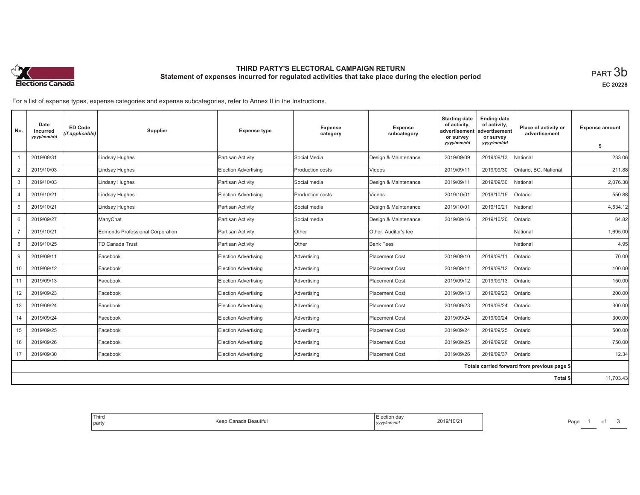

# **THIRD PARTY'S ELECTORAL CAMPAIGN RETURN Statement of expenses incurred for regulated activities that take place during the election period**<br>PART  $3\mathsf{b}$

**EC 20228**

For a list of expense types, expense categories and expense subcategories, refer to Annex II in the Instructions.

| No.            | Date<br>incurred<br>yyyy/mm/dd | <b>ED Code</b><br>(if applicable) | Supplier                         | <b>Expense type</b>         | <b>Expense</b><br>category | Expense<br>subcategory | <b>Starting date</b><br>of activity,<br>advertisement<br>or survey | <b>Ending date</b><br>of activity,<br>advertisement<br>or survey | Place of activity or<br>advertisement        | <b>Expense amount</b> |
|----------------|--------------------------------|-----------------------------------|----------------------------------|-----------------------------|----------------------------|------------------------|--------------------------------------------------------------------|------------------------------------------------------------------|----------------------------------------------|-----------------------|
|                |                                |                                   |                                  |                             |                            |                        | yyyy/mm/dd                                                         | yyyy/mm/dd                                                       |                                              | s.                    |
|                | 2019/08/31                     |                                   | <b>Lindsay Hughes</b>            | Partisan Activity           | Social Media               | Design & Maintenance   | 2019/09/09                                                         | 2019/09/13                                                       | National                                     | 233.06                |
| 2              | 2019/10/03                     |                                   | <b>Lindsay Hughes</b>            | Election Advertising        | Production costs           | Videos                 | 2019/09/11                                                         | 2019/09/30                                                       | Ontario, BC, National                        | 211.88                |
| 3              | 2019/10/03                     |                                   | Lindsay Hughes                   | Partisan Activity           | Social media               | Design & Maintenance   | 2019/09/11                                                         | 2019/09/30                                                       | National                                     | 2,076.38              |
| $\overline{4}$ | 2019/10/21                     |                                   | Lindsay Hughes                   | <b>Election Advertising</b> | Production costs           | Videos                 | 2019/10/01                                                         | 2019/10/15                                                       | Ontario                                      | 550.88                |
| 5              | 2019/10/21                     |                                   | <b>Lindsay Hughes</b>            | Partisan Activity           | Social media               | Design & Maintenance   | 2019/10/01                                                         | 2019/10/21                                                       | National                                     | 4,534.12              |
| 6              | 2019/09/27                     |                                   | ManyChat                         | Partisan Activity           | Social media               | Design & Maintenance   | 2019/09/16                                                         | 2019/10/20                                                       | Ontario                                      | 64.82                 |
| $\overline{7}$ | 2019/10/21                     |                                   | Edmonds Professional Corporation | Partisan Activity           | Other                      | Other: Auditor's fee   |                                                                    |                                                                  | National                                     | 1,695.00              |
| 8              | 2019/10/25                     |                                   | TD Canada Trust                  | Partisan Activity           | <b>Other</b>               | <b>Bank Fees</b>       |                                                                    |                                                                  | National                                     | 4.95                  |
| 9              | 2019/09/11                     |                                   | Facebook                         | Election Advertising        | Advertising                | <b>Placement Cost</b>  | 2019/09/10                                                         | 2019/09/11                                                       | Ontario                                      | 70.00                 |
| 10             | 2019/09/12                     |                                   | Facebook                         | <b>Election Advertising</b> | Advertising                | <b>Placement Cost</b>  | 2019/09/11                                                         | 2019/09/12                                                       | Ontario                                      | 100.00                |
| 11             | 2019/09/13                     |                                   | Facebook                         | Election Advertising        | Advertising                | <b>Placement Cost</b>  | 2019/09/12                                                         | 2019/09/13                                                       | Ontario                                      | 150.00                |
| 12             | 2019/09/23                     |                                   | Facebook                         | Election Advertising        | Advertising                | <b>Placement Cost</b>  | 2019/09/13                                                         | 2019/09/23                                                       | Ontario                                      | 200.00                |
| 13             | 2019/09/24                     |                                   | Facebook                         | <b>Election Advertising</b> | Advertising                | <b>Placement Cost</b>  | 2019/09/23                                                         | 2019/09/24                                                       | Ontario                                      | 300.00                |
| 14             | 2019/09/24                     |                                   | Facebook                         | Election Advertising        | Advertising                | <b>Placement Cost</b>  | 2019/09/24                                                         | 2019/09/24                                                       | Ontario                                      | 300.00                |
| 15             | 2019/09/25                     |                                   | Facebook                         | Election Advertising        | Advertising                | <b>Placement Cost</b>  | 2019/09/24                                                         | 2019/09/25                                                       | Ontario                                      | 500.00                |
| 16             | 2019/09/26                     |                                   | Facebook                         | <b>Election Advertising</b> | Advertising                | <b>Placement Cost</b>  | 2019/09/25                                                         | 2019/09/26                                                       | Ontario                                      | 750.00                |
| 17             | 2019/09/30                     |                                   | Facebook                         | Election Advertising        | Advertising                | <b>Placement Cost</b>  | 2019/09/26                                                         | 2019/09/37                                                       | Ontario                                      | 12.34                 |
|                |                                |                                   |                                  |                             |                            |                        |                                                                    |                                                                  | Totals carried forward from previous page \$ |                       |
|                |                                |                                   |                                  |                             |                            |                        |                                                                    |                                                                  | Total \$                                     | 11,703.43             |

| Third<br>Election day<br>2019/10/21<br>.<br>، Canada Beautiful<br>Kaan<br>$\sim$<br>  party<br>yyyy/mm/dd |
|-----------------------------------------------------------------------------------------------------------|
|-----------------------------------------------------------------------------------------------------------|

Page 1 of 3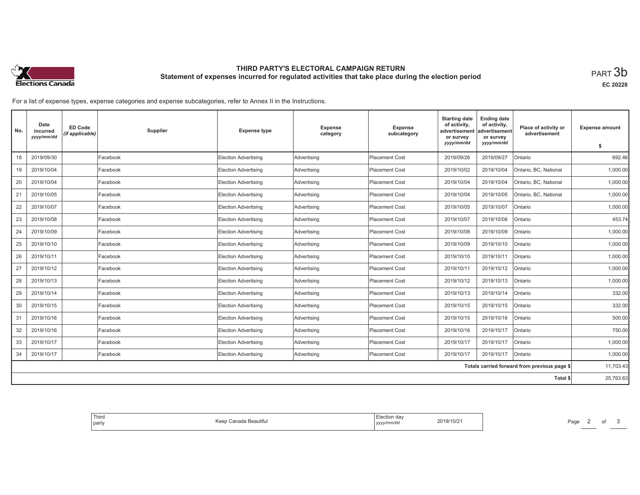

# **THIRD PARTY'S ELECTORAL CAMPAIGN RETURN Statement of expenses incurred for regulated activities that take place during the election period**<br>PART  $3\mathsf{b}$

**EC 20228**

For a list of expense types, expense categories and expense subcategories, refer to Annex II in the Instructions.

| No. | Date<br>incurred<br>yyyy/mm/dd | ED Code<br>(if applicable) | Supplier | <b>Expense type</b>         | <b>Expense</b><br>category | Expense<br>subcategory | <b>Starting date</b><br>of activity,<br>advertisement<br>or survey<br>yyyy/mm/dd | <b>Ending date</b><br>of activity,<br>advertisement<br>or survey<br>yyyy/mm/dd | Place of activity or<br>advertisement        | <b>Expense amount</b> |
|-----|--------------------------------|----------------------------|----------|-----------------------------|----------------------------|------------------------|----------------------------------------------------------------------------------|--------------------------------------------------------------------------------|----------------------------------------------|-----------------------|
|     |                                |                            |          |                             |                            |                        |                                                                                  |                                                                                |                                              | \$                    |
| 18  | 2019/09/30                     |                            | Facebook | <b>Election Advertising</b> | Advertising                | <b>Placement Cost</b>  | 2019/09/26                                                                       | 2019/09/27                                                                     | Ontario                                      | 692.46                |
| 19  | 2019/10/04                     |                            | Facebook | <b>Election Advertising</b> | Advertising                | <b>Placement Cost</b>  | 2019/10/02                                                                       | 2019/10/04                                                                     | Ontario, BC, National                        | 1,000.00              |
| 20  | 2019/10/04                     |                            | Facebook | <b>Election Advertising</b> | Advertising                | <b>Placement Cost</b>  | 2019/10/04                                                                       | 2019/10/04                                                                     | Ontario, BC, National                        | 1,000.00              |
| 21  | 2019/10/05                     |                            | Facebook | <b>Election Advertising</b> | Advertising                | <b>Placement Cost</b>  | 2019/10/04                                                                       | 2019/10/05                                                                     | Ontario, BC, National                        | 1,000.00              |
| 22  | 2019/10/07                     |                            | Facebook | <b>Election Advertising</b> | Advertising                | <b>Placement Cost</b>  | 2019/10/05                                                                       | 2019/10/07                                                                     | Ontario                                      | 1.000.00              |
| 23  | 2019/10/08                     |                            | Facebook | <b>Election Advertising</b> | Advertising                | <b>Placement Cost</b>  | 2019/10/07                                                                       | 2019/10/08                                                                     | Ontario                                      | 453.74                |
| 24  | 2019/10/09                     |                            | Facebook | Election Advertising        | Advertising                | <b>Placement Cost</b>  | 2019/10/08                                                                       | 2019/10/09                                                                     | Ontario                                      | 1,000.00              |
| 25  | 2019/10/10                     |                            | Facebook | <b>Election Advertising</b> | Advertising                | <b>Placement Cost</b>  | 2019/10/09                                                                       | 2019/10/10                                                                     | Ontario                                      | 1,000.00              |
| 26  | 2019/10/11                     |                            | Facebook | Election Advertising        | Advertising                | <b>Placement Cost</b>  | 2019/10/10                                                                       | 2019/10/11                                                                     | Ontario                                      | 1,000.00              |
| 27  | 2019/10/12                     |                            | Facebook | <b>Election Advertising</b> | Advertising                | <b>Placement Cost</b>  | 2019/10/11                                                                       | 2019/10/12                                                                     | Ontario                                      | 1,000.00              |
| 28  | 2019/10/13                     |                            | Facebook | <b>Election Advertising</b> | Advertising                | <b>Placement Cost</b>  | 2019/10/12                                                                       | 2019/10/13                                                                     | Ontario                                      | 1,000.00              |
| 29  | 2019/10/14                     |                            | Facebook | Election Advertising        | Advertising                | <b>Placement Cost</b>  | 2019/10/13                                                                       | 2019/10/14                                                                     | Ontario                                      | 332.00                |
| 30  | 2019/10/15                     |                            | Facebook | Election Advertising        | Advertising                | <b>Placement Cost</b>  | 2019/10/15                                                                       | 2019/10/15                                                                     | Ontario                                      | 332.00                |
| 31  | 2019/10/16                     |                            | Facebook | <b>Election Advertising</b> | Advertising                | <b>Placement Cost</b>  | 2019/10/15                                                                       | 2019/10/16                                                                     | Ontario                                      | 500.00                |
| 32  | 2019/10/16                     |                            | Facebook | Election Advertising        | Advertising                | <b>Placement Cost</b>  | 2019/10/16                                                                       | 2019/10/17                                                                     | Ontario                                      | 750.00                |
| 33  | 2019/10/17                     |                            | Facebook | <b>Election Advertising</b> | Advertising                | <b>Placement Cost</b>  | 2019/10/17                                                                       | 2019/10/17                                                                     | Ontario                                      | 1,000.00              |
| 34  | 2019/10/17                     |                            | Facebook | <b>Election Advertising</b> | Advertising                | <b>Placement Cost</b>  | 2019/10/17                                                                       | 2019/10/17                                                                     | Ontario                                      | 1,000.00              |
|     |                                |                            |          |                             |                            |                        |                                                                                  |                                                                                | Totals carried forward from previous page \$ | 11,703.43             |
|     |                                |                            |          |                             |                            |                        |                                                                                  |                                                                                | Total \$                                     | 25,763.63             |

| 2019/10/2<br>eaum.<br>√mm⁄do<br>,,,,, |
|---------------------------------------|
|---------------------------------------|

Page 2 of 3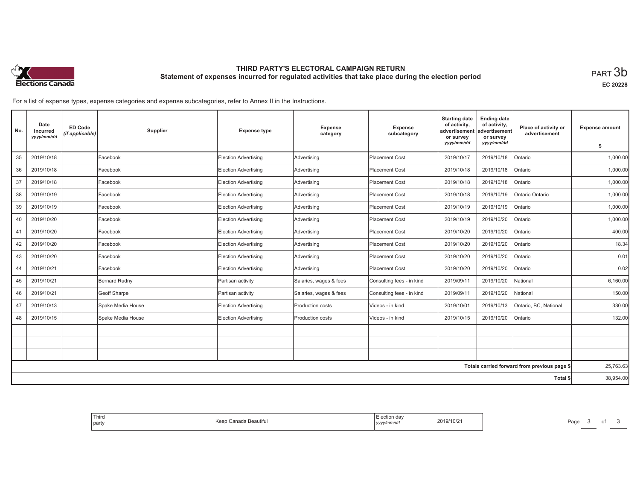

# **THIRD PARTY'S ELECTORAL CAMPAIGN RETURN Statement of expenses incurred for regulated activities that take place during the election period**<br>PART  $3\mathsf{b}$

**EC 20228**

For a list of expense types, expense categories and expense subcategories, refer to Annex II in the Instructions.

| No. | Date<br>incurred<br>yyyy/mm/dd | <b>ED Code</b><br>(if applicable) | <b>Supplier</b>   | <b>Expense type</b>         | Expense<br>category    | Expense<br>subcategory    | <b>Starting date</b><br>of activity,<br>advertisement<br>or survey | <b>Ending date</b><br>of activity,<br>advertisement<br>or survey | Place of activity or<br>advertisement        | <b>Expense amount</b> |
|-----|--------------------------------|-----------------------------------|-------------------|-----------------------------|------------------------|---------------------------|--------------------------------------------------------------------|------------------------------------------------------------------|----------------------------------------------|-----------------------|
|     |                                |                                   |                   |                             |                        |                           | yyyy/mm/dd                                                         | yyyy/mm/dd                                                       |                                              | \$                    |
| 35  | 2019/10/18                     |                                   | Facebook          | Election Advertising        | Advertising            | <b>Placement Cost</b>     | 2019/10/17                                                         | 2019/10/18                                                       | Ontario                                      | 1,000.00              |
| 36  | 2019/10/18                     |                                   | Facebook          | Election Advertising        | Advertising            | <b>Placement Cost</b>     | 2019/10/18                                                         | 2019/10/18                                                       | Ontario                                      | 1,000.00              |
| 37  | 2019/10/18                     |                                   | Facebook          | Election Advertising        | Advertising            | <b>Placement Cost</b>     | 2019/10/18                                                         | 2019/10/18                                                       | Ontario                                      | 1.000.00              |
| 38  | 2019/10/19                     |                                   | Facebook          | Election Advertising        | Advertising            | <b>Placement Cost</b>     | 2019/10/18                                                         | 2019/10/19                                                       | Ontario Ontario                              | 1,000.00              |
| 39  | 2019/10/19                     |                                   | Facebook          | Election Advertising        | Advertising            | <b>Placement Cost</b>     | 2019/10/19                                                         | 2019/10/19                                                       | Ontario                                      | 1.000.00              |
| 40  | 2019/10/20                     |                                   | Facebook          | <b>Election Advertising</b> | Advertising            | <b>Placement Cost</b>     | 2019/10/19                                                         | 2019/10/20                                                       | Ontario                                      | 1,000.00              |
| 41  | 2019/10/20                     |                                   | Facebook          | Election Advertising        | Advertising            | <b>Placement Cost</b>     | 2019/10/20                                                         | 2019/10/20                                                       | Ontario                                      | 400.00                |
| 42  | 2019/10/20                     |                                   | Facebook          | Election Advertising        | Advertising            | <b>Placement Cost</b>     | 2019/10/20                                                         | 2019/10/20                                                       | Ontario                                      | 18.34                 |
| 43  | 2019/10/20                     |                                   | Facebook          | <b>Election Advertising</b> | Advertising            | <b>Placement Cost</b>     | 2019/10/20                                                         | 2019/10/20                                                       | Ontario                                      | 0.01                  |
| 44  | 2019/10/21                     |                                   | Facebook          | <b>Election Advertising</b> | Advertising            | <b>Placement Cost</b>     | 2019/10/20                                                         | 2019/10/20                                                       | Ontario                                      | 0.02                  |
| 45  | 2019/10/21                     |                                   | Bernard Rudny     | Partisan activity           | Salaries, wages & fees | Consulting fees - in kind | 2019/09/11                                                         | 2019/10/20                                                       | National                                     | 6,160.00              |
| 46  | 2019/10/21                     |                                   | Geoff Sharpe      | Partisan activity           | Salaries, wages & fees | Consulting fees - in kind | 2019/09/11                                                         | 2019/10/20                                                       | National                                     | 150.00                |
| 47  | 2019/10/13                     |                                   | Spake Media House | Election Advertising        | Production costs       | Videos - in kind          | 2019/10/01                                                         | 2019/10/13                                                       | Ontario, BC, National                        | 330.00                |
| 48  | 2019/10/15                     |                                   | Spake Media House | Election Advertising        | Production costs       | Videos - in kind          | 2019/10/15                                                         | 2019/10/20                                                       | Ontario                                      | 132.00                |
|     |                                |                                   |                   |                             |                        |                           |                                                                    |                                                                  |                                              |                       |
|     |                                |                                   |                   |                             |                        |                           |                                                                    |                                                                  |                                              |                       |
|     |                                |                                   |                   |                             |                        |                           |                                                                    |                                                                  |                                              |                       |
|     |                                |                                   |                   |                             |                        |                           |                                                                    |                                                                  | Totals carried forward from previous page \$ | 25,763.63             |
|     |                                |                                   |                   |                             |                        |                           |                                                                    |                                                                  | Total \$                                     | 38,954.00             |

| tion dav:<br>2019<br>3/10/2<br>` <i>∿/mm/d</i> u<br>,,,,, | Third<br>Beautitul<br>$\sim$<br>party |
|-----------------------------------------------------------|---------------------------------------|
|-----------------------------------------------------------|---------------------------------------|

Page 3 of 3